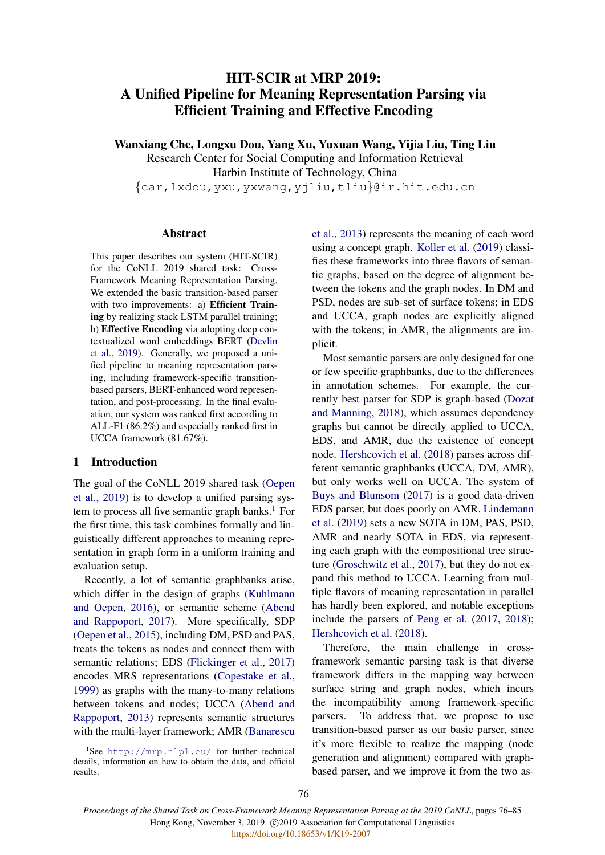# HIT-SCIR at MRP 2019: A Unified Pipeline for Meaning Representation Parsing via Efficient Training and Effective Encoding

Wanxiang Che, Longxu Dou, Yang Xu, Yuxuan Wang, Yijia Liu, Ting Liu

Research Center for Social Computing and Information Retrieval Harbin Institute of Technology, China {car,lxdou,yxu,yxwang,yjliu,tliu}@ir.hit.edu.cn

### Abstract

This paper describes our system (HIT-SCIR) for the CoNLL 2019 shared task: Cross-Framework Meaning Representation Parsing. We extended the basic transition-based parser with two improvements: a) Efficient Training by realizing stack LSTM parallel training; b) Effective Encoding via adopting deep contextualized word embeddings BERT [\(Devlin](#page-8-0) [et al.,](#page-8-0) [2019\)](#page-8-0). Generally, we proposed a unified pipeline to meaning representation parsing, including framework-specific transitionbased parsers, BERT-enhanced word representation, and post-processing. In the final evaluation, our system was ranked first according to ALL-F1 (86.2%) and especially ranked first in UCCA framework (81.67%).

# 1 Introduction

The goal of the CoNLL 2019 shared task [\(Oepen](#page-8-1) [et al.,](#page-8-1) [2019\)](#page-8-1) is to develop a unified parsing system to process all five semantic graph banks. $<sup>1</sup>$  $<sup>1</sup>$  $<sup>1</sup>$  For</sup> the first time, this task combines formally and linguistically different approaches to meaning representation in graph form in a uniform training and evaluation setup.

Recently, a lot of semantic graphbanks arise, which differ in the design of graphs [\(Kuhlmann](#page-8-2) [and Oepen,](#page-8-2) [2016\)](#page-8-2), or semantic scheme [\(Abend](#page-8-3) [and Rappoport,](#page-8-3) [2017\)](#page-8-3). More specifically, SDP [\(Oepen et al.,](#page-8-4) [2015\)](#page-8-4), including DM, PSD and PAS, treats the tokens as nodes and connect them with semantic relations; EDS [\(Flickinger et al.,](#page-8-5) [2017\)](#page-8-5) encodes MRS representations [\(Copestake et al.,](#page-8-6) [1999\)](#page-8-6) as graphs with the many-to-many relations between tokens and nodes; UCCA [\(Abend and](#page-7-0) [Rappoport,](#page-7-0) [2013\)](#page-7-0) represents semantic structures with the multi-layer framework; AMR [\(Banarescu](#page-8-7) [et al.,](#page-8-7) [2013\)](#page-8-7) represents the meaning of each word using a concept graph. [Koller et al.](#page-8-8) [\(2019\)](#page-8-8) classifies these frameworks into three flavors of semantic graphs, based on the degree of alignment between the tokens and the graph nodes. In DM and PSD, nodes are sub-set of surface tokens; in EDS and UCCA, graph nodes are explicitly aligned with the tokens; in AMR, the alignments are implicit.

Most semantic parsers are only designed for one or few specific graphbanks, due to the differences in annotation schemes. For example, the currently best parser for SDP is graph-based [\(Dozat](#page-8-9) [and Manning,](#page-8-9) [2018\)](#page-8-9), which assumes dependency graphs but cannot be directly applied to UCCA, EDS, and AMR, due the existence of concept node. [Hershcovich et al.](#page-8-10) [\(2018\)](#page-8-10) parses across different semantic graphbanks (UCCA, DM, AMR), but only works well on UCCA. The system of [Buys and Blunsom](#page-8-11) [\(2017\)](#page-8-11) is a good data-driven EDS parser, but does poorly on AMR. [Lindemann](#page-8-12) [et al.](#page-8-12) [\(2019\)](#page-8-12) sets a new SOTA in DM, PAS, PSD, AMR and nearly SOTA in EDS, via representing each graph with the compositional tree structure [\(Groschwitz et al.,](#page-8-13) [2017\)](#page-8-13), but they do not expand this method to UCCA. Learning from multiple flavors of meaning representation in parallel has hardly been explored, and notable exceptions include the parsers of [Peng et al.](#page-9-0) [\(2017,](#page-9-0) [2018\)](#page-9-1); [Hershcovich et al.](#page-8-10) [\(2018\)](#page-8-10).

Therefore, the main challenge in crossframework semantic parsing task is that diverse framework differs in the mapping way between surface string and graph nodes, which incurs the incompatibility among framework-specific parsers. To address that, we propose to use transition-based parser as our basic parser, since it's more flexible to realize the mapping (node generation and alignment) compared with graphbased parser, and we improve it from the two as-

<span id="page-0-0"></span><sup>1</sup> See [http://mrp.nlpl.eu/](#page-8-7) for further technical [details, information on how to obtain the data, and official](#page-8-7) [results.](#page-8-7)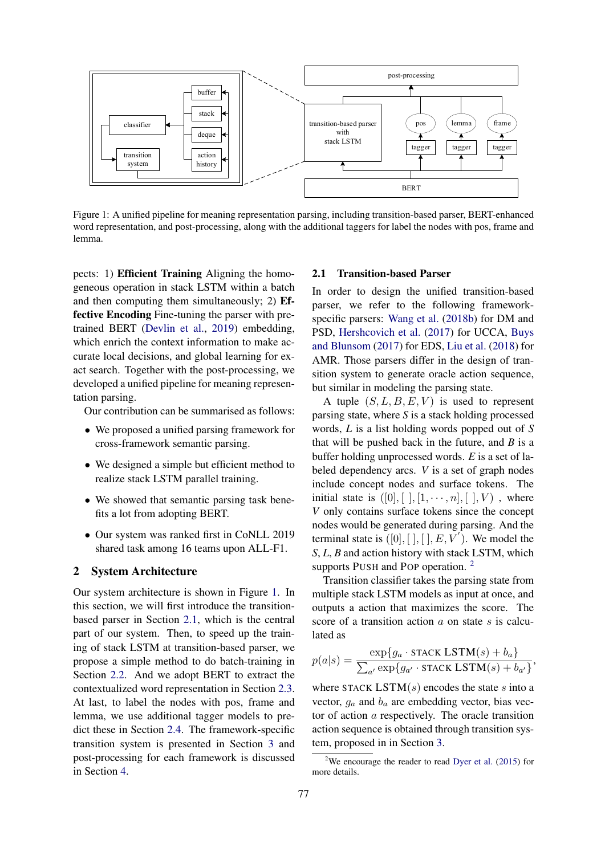<span id="page-1-0"></span>

Figure 1: A unified pipeline for meaning representation parsing, including transition-based parser, BERT-enhanced word representation, and post-processing, along with the additional taggers for label the nodes with pos, frame and lemma.

pects: 1) Efficient Training Aligning the homogeneous operation in stack LSTM within a batch and then computing them simultaneously; 2) Effective Encoding Fine-tuning the parser with pretrained BERT [\(Devlin et al.,](#page-8-0) [2019\)](#page-8-0) embedding, which enrich the context information to make accurate local decisions, and global learning for exact search. Together with the post-processing, we developed a unified pipeline for meaning representation parsing.

Our contribution can be summarised as follows:

- We proposed a unified parsing framework for cross-framework semantic parsing.
- We designed a simple but efficient method to realize stack LSTM parallel training.
- We showed that semantic parsing task benefits a lot from adopting BERT.
- Our system was ranked first in CoNLL 2019 shared task among 16 teams upon ALL-F1.

### 2 System Architecture

Our system architecture is shown in Figure [1.](#page-1-0) In this section, we will first introduce the transitionbased parser in Section [2.1,](#page-1-1) which is the central part of our system. Then, to speed up the training of stack LSTM at transition-based parser, we propose a simple method to do batch-training in Section [2.2.](#page-2-0) And we adopt BERT to extract the contextualized word representation in Section [2.3.](#page-2-1) At last, to label the nodes with pos, frame and lemma, we use additional tagger models to predict these in Section [2.4.](#page-3-0) The framework-specific transition system is presented in Section [3](#page-3-1) and post-processing for each framework is discussed in Section [4.](#page-4-0)

### <span id="page-1-1"></span>2.1 Transition-based Parser

In order to design the unified transition-based parser, we refer to the following frameworkspecific parsers: [Wang et al.](#page-9-2) [\(2018b\)](#page-9-2) for DM and PSD, [Hershcovich et al.](#page-8-14) [\(2017\)](#page-8-14) for UCCA, [Buys](#page-8-11) [and Blunsom](#page-8-11) [\(2017\)](#page-8-11) for EDS, [Liu et al.](#page-8-15) [\(2018\)](#page-8-15) for AMR. Those parsers differ in the design of transition system to generate oracle action sequence, but similar in modeling the parsing state.

A tuple  $(S, L, B, E, V)$  is used to represent parsing state, where *S* is a stack holding processed words, *L* is a list holding words popped out of *S* that will be pushed back in the future, and *B* is a buffer holding unprocessed words. *E* is a set of labeled dependency arcs. *V* is a set of graph nodes include concept nodes and surface tokens. The initial state is  $([0], [], [1, \cdots, n], [], V)$ , where *V* only contains surface tokens since the concept nodes would be generated during parsing. And the terminal state is  $([0], [ ], [ ], E, V^{'})$ . We model the *S*, *L*, *B* and action history with stack LSTM, which supports PUSH and POP operation.<sup>[2](#page-1-2)</sup>

Transition classifier takes the parsing state from multiple stack LSTM models as input at once, and outputs a action that maximizes the score. The score of a transition action  $\alpha$  on state s is calculated as

$$
p(a|s) = \frac{\exp\{g_a \cdot \text{stack LSTM}(s) + b_a\}}{\sum_{a'} \exp\{g_{a'} \cdot \text{stack LSTM}(s) + b_{a'}\}},
$$

where STACK LSTM $(s)$  encodes the state s into a vector,  $g_a$  and  $b_a$  are embedding vector, bias vector of action a respectively. The oracle transition action sequence is obtained through transition system, proposed in in Section [3.](#page-3-1)

<span id="page-1-2"></span><sup>&</sup>lt;sup>2</sup>We encourage the reader to read [Dyer et al.](#page-8-16)  $(2015)$  for more details.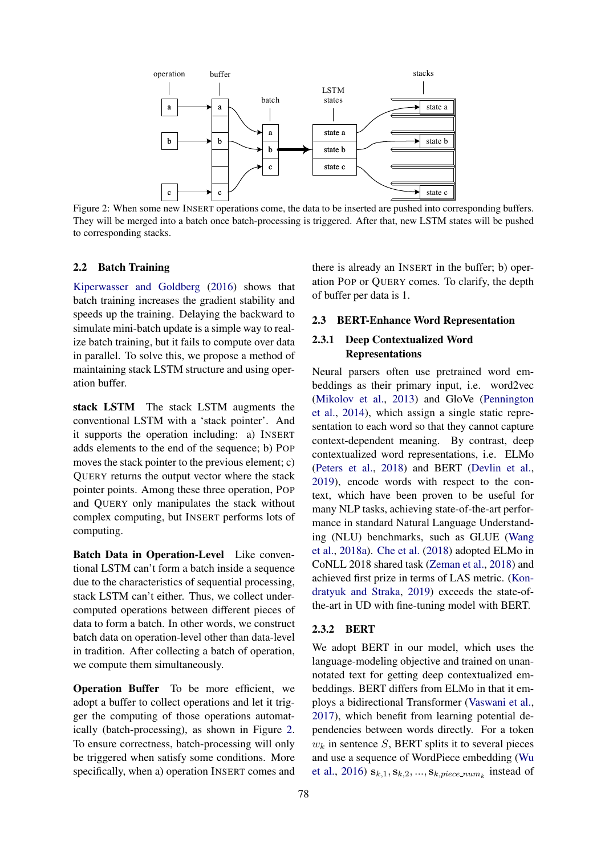<span id="page-2-2"></span>

Figure 2: When some new INSERT operations come, the data to be inserted are pushed into corresponding buffers. They will be merged into a batch once batch-processing is triggered. After that, new LSTM states will be pushed to corresponding stacks.

#### <span id="page-2-0"></span>2.2 Batch Training

[Kiperwasser and Goldberg](#page-8-17) [\(2016\)](#page-8-17) shows that batch training increases the gradient stability and speeds up the training. Delaying the backward to simulate mini-batch update is a simple way to realize batch training, but it fails to compute over data in parallel. To solve this, we propose a method of maintaining stack LSTM structure and using operation buffer.

stack LSTM The stack LSTM augments the conventional LSTM with a 'stack pointer'. And it supports the operation including: a) INSERT adds elements to the end of the sequence; b) POP moves the stack pointer to the previous element; c) QUERY returns the output vector where the stack pointer points. Among these three operation, POP and QUERY only manipulates the stack without complex computing, but INSERT performs lots of computing.

Batch Data in Operation-Level Like conventional LSTM can't form a batch inside a sequence due to the characteristics of sequential processing, stack LSTM can't either. Thus, we collect undercomputed operations between different pieces of data to form a batch. In other words, we construct batch data on operation-level other than data-level in tradition. After collecting a batch of operation, we compute them simultaneously.

Operation Buffer To be more efficient, we adopt a buffer to collect operations and let it trigger the computing of those operations automatically (batch-processing), as shown in Figure [2.](#page-2-2) To ensure correctness, batch-processing will only be triggered when satisfy some conditions. More specifically, when a) operation INSERT comes and

there is already an INSERT in the buffer; b) operation POP or QUERY comes. To clarify, the depth of buffer per data is 1.

#### <span id="page-2-1"></span>2.3 BERT-Enhance Word Representation

### 2.3.1 Deep Contextualized Word Representations

Neural parsers often use pretrained word embeddings as their primary input, i.e. word2vec [\(Mikolov et al.,](#page-8-18) [2013\)](#page-8-18) and GloVe [\(Pennington](#page-9-3) [et al.,](#page-9-3) [2014\)](#page-9-3), which assign a single static representation to each word so that they cannot capture context-dependent meaning. By contrast, deep contextualized word representations, i.e. ELMo [\(Peters et al.,](#page-9-4) [2018\)](#page-9-4) and BERT [\(Devlin et al.,](#page-8-0) [2019\)](#page-8-0), encode words with respect to the context, which have been proven to be useful for many NLP tasks, achieving state-of-the-art performance in standard Natural Language Understanding (NLU) benchmarks, such as GLUE [\(Wang](#page-9-5) [et al.,](#page-9-5) [2018a\)](#page-9-5). [Che et al.](#page-8-19) [\(2018\)](#page-8-19) adopted ELMo in CoNLL 2018 shared task [\(Zeman et al.,](#page-9-6) [2018\)](#page-9-6) and achieved first prize in terms of LAS metric. [\(Kon](#page-8-20)[dratyuk and Straka,](#page-8-20) [2019\)](#page-8-20) exceeds the state-ofthe-art in UD with fine-tuning model with BERT.

### 2.3.2 BERT

We adopt BERT in our model, which uses the language-modeling objective and trained on unannotated text for getting deep contextualized embeddings. BERT differs from ELMo in that it employs a bidirectional Transformer [\(Vaswani et al.,](#page-9-7) [2017\)](#page-9-7), which benefit from learning potential dependencies between words directly. For a token  $w_k$  in sentence S, BERT splits it to several pieces and use a sequence of WordPiece embedding [\(Wu](#page-9-8) [et al.,](#page-9-8) [2016\)](#page-9-8)  $s_{k,1}, s_{k,2}, ..., s_{k, piece\_num_k}$  instead of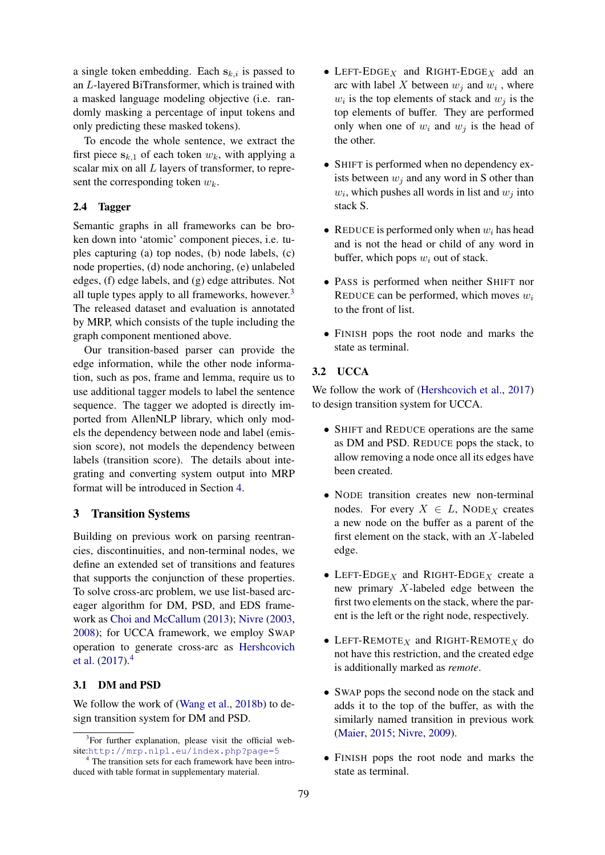a single token embedding. Each  $s_{k,i}$  is passed to an L-layered BiTransformer, which is trained with a masked language modeling objective (i.e. randomly masking a percentage of input tokens and only predicting these masked tokens).

To encode the whole sentence, we extract the first piece  $s_{k,1}$  of each token  $w_k$ , with applying a scalar mix on all  $L$  layers of transformer, to represent the corresponding token  $w_k$ .

# <span id="page-3-0"></span>2.4 Tagger

Semantic graphs in all frameworks can be broken down into 'atomic' component pieces, i.e. tuples capturing (a) top nodes, (b) node labels, (c) node properties, (d) node anchoring, (e) unlabeled edges, (f) edge labels, and (g) edge attributes. Not all tuple types apply to all frameworks, however.<sup>[3](#page-3-2)</sup> The released dataset and evaluation is annotated by MRP, which consists of the tuple including the graph component mentioned above.

Our transition-based parser can provide the edge information, while the other node information, such as pos, frame and lemma, require us to use additional tagger models to label the sentence sequence. The tagger we adopted is directly imported from AllenNLP library, which only models the dependency between node and label (emission score), not models the dependency between labels (transition score). The details about integrating and converting system output into MRP format will be introduced in Section [4.](#page-4-0)

### <span id="page-3-1"></span>3 Transition Systems

Building on previous work on parsing reentrancies, discontinuities, and non-terminal nodes, we define an extended set of transitions and features that supports the conjunction of these properties. To solve cross-arc problem, we use list-based arceager algorithm for DM, PSD, and EDS framework as [Choi and McCallum](#page-8-21) [\(2013\)](#page-8-21); [Nivre](#page-8-22) [\(2003,](#page-8-22) [2008\)](#page-8-23); for UCCA framework, we employ SWAP operation to generate cross-arc as [Hershcovich](#page-8-14) [et al.](#page-8-14) [\(2017\)](#page-8-14).[4](#page-3-3)

### 3.1 DM and PSD

We follow the work of [\(Wang et al.,](#page-9-2) [2018b\)](#page-9-2) to design transition system for DM and PSD.

- LEFT-EDGE<sub>X</sub> and RIGHT-EDGE<sub>X</sub> add an arc with label X between  $w_j$  and  $w_i$ , where  $w_i$  is the top elements of stack and  $w_j$  is the top elements of buffer. They are performed only when one of  $w_i$  and  $w_j$  is the head of the other.
- SHIFT is performed when no dependency exists between  $w_i$  and any word in S other than  $w_i$ , which pushes all words in list and  $w_j$  into stack S.
- REDUCE is performed only when  $w_i$  has head and is not the head or child of any word in buffer, which pops  $w_i$  out of stack.
- PASS is performed when neither SHIFT nor REDUCE can be performed, which moves  $w_i$ to the front of list.
- FINISH pops the root node and marks the state as terminal.

# 3.2 UCCA

We follow the work of [\(Hershcovich et al.,](#page-8-14) [2017\)](#page-8-14) to design transition system for UCCA.

- SHIFT and REDUCE operations are the same as DM and PSD. REDUCE pops the stack, to allow removing a node once all its edges have been created.
- NODE transition creates new non-terminal nodes. For every  $X \in L$ , NODE<sub>X</sub> creates a new node on the buffer as a parent of the first element on the stack, with an X-labeled edge.
- LEFT-EDGE<sub>X</sub> and RIGHT-EDGE<sub>X</sub> create a new primary X-labeled edge between the first two elements on the stack, where the parent is the left or the right node, respectively.
- LEFT-REMOTE $_X$  and RIGHT-REMOTE $_X$  do not have this restriction, and the created edge is additionally marked as *remote*.
- SWAP pops the second node on the stack and adds it to the top of the buffer, as with the similarly named transition in previous work [\(Maier,](#page-8-24) [2015;](#page-8-24) [Nivre,](#page-8-25) [2009\)](#page-8-25).
- FINISH pops the root node and marks the state as terminal.

<span id="page-3-2"></span><sup>&</sup>lt;sup>3</sup>For further explanation, please visit the official website:<http://mrp.nlpl.eu/index.php?page=5>

<span id="page-3-3"></span><sup>&</sup>lt;sup>4</sup> The transition sets for each framework have been introduced with table format in supplementary material.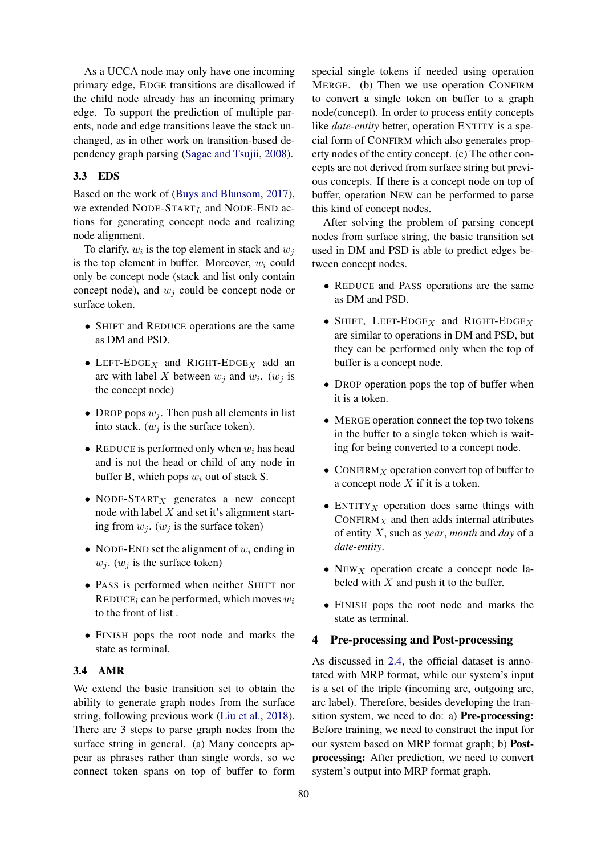As a UCCA node may only have one incoming primary edge, EDGE transitions are disallowed if the child node already has an incoming primary edge. To support the prediction of multiple parents, node and edge transitions leave the stack unchanged, as in other work on transition-based dependency graph parsing [\(Sagae and Tsujii,](#page-9-9) [2008\)](#page-9-9).

# 3.3 EDS

Based on the work of [\(Buys and Blunsom,](#page-8-11) [2017\)](#page-8-11), we extended NODE-START<sub>L</sub> and NODE-END actions for generating concept node and realizing node alignment.

To clarify,  $w_i$  is the top element in stack and  $w_j$ is the top element in buffer. Moreover,  $w_i$  could only be concept node (stack and list only contain concept node), and  $w_i$  could be concept node or surface token.

- SHIFT and REDUCE operations are the same as DM and PSD.
- LEFT-EDGE<sub>X</sub> and RIGHT-EDGE<sub>X</sub> add an arc with label X between  $w_j$  and  $w_i$ .  $(w_j)$  is the concept node)
- DROP pops  $w_i$ . Then push all elements in list into stack.  $(w_j$  is the surface token).
- REDUCE is performed only when  $w_i$  has head and is not the head or child of any node in buffer B, which pops  $w_i$  out of stack S.
- NODE-START $_X$  generates a new concept node with label  $X$  and set it's alignment starting from  $w_j$ . ( $w_j$  is the surface token)
- NODE-END set the alignment of  $w_i$  ending in  $w_i$ . ( $w_i$  is the surface token)
- PASS is performed when neither SHIFT nor REDUCE<sub>l</sub> can be performed, which moves  $w_i$ to the front of list .
- FINISH pops the root node and marks the state as terminal.

# 3.4 AMR

We extend the basic transition set to obtain the ability to generate graph nodes from the surface string, following previous work [\(Liu et al.,](#page-8-15) [2018\)](#page-8-15). There are 3 steps to parse graph nodes from the surface string in general. (a) Many concepts appear as phrases rather than single words, so we connect token spans on top of buffer to form

special single tokens if needed using operation MERGE. (b) Then we use operation CONFIRM to convert a single token on buffer to a graph node(concept). In order to process entity concepts like *date-entity* better, operation ENTITY is a special form of CONFIRM which also generates property nodes of the entity concept. (c) The other concepts are not derived from surface string but previous concepts. If there is a concept node on top of buffer, operation NEW can be performed to parse this kind of concept nodes.

After solving the problem of parsing concept nodes from surface string, the basic transition set used in DM and PSD is able to predict edges between concept nodes.

- REDUCE and PASS operations are the same as DM and PSD.
- SHIFT, LEFT-EDGE<sub>X</sub> and RIGHT-EDGE<sub>X</sub> are similar to operations in DM and PSD, but they can be performed only when the top of buffer is a concept node.
- DROP operation pops the top of buffer when it is a token.
- MERGE operation connect the top two tokens in the buffer to a single token which is waiting for being converted to a concept node.
- CONFIRM $_X$  operation convert top of buffer to a concept node  $X$  if it is a token.
- ENTITY *x* operation does same things with CONFIRM $<sub>X</sub>$  and then adds internal attributes</sub> of entity X, such as *year*, *month* and *day* of a *date-entity*.
- NEW  $_X$  operation create a concept node labeled with  $X$  and push it to the buffer.
- FINISH pops the root node and marks the state as terminal.

# <span id="page-4-0"></span>4 Pre-processing and Post-processing

As discussed in [2.4,](#page-3-0) the official dataset is annotated with MRP format, while our system's input is a set of the triple (incoming arc, outgoing arc, arc label). Therefore, besides developing the transition system, we need to do: a) Pre-processing: Before training, we need to construct the input for our system based on MRP format graph; b) Postprocessing: After prediction, we need to convert system's output into MRP format graph.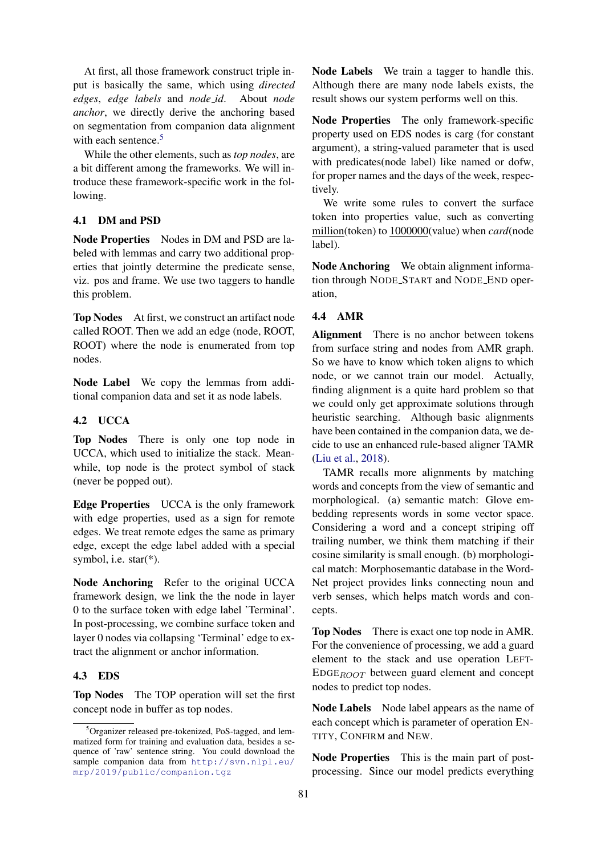At first, all those framework construct triple input is basically the same, which using *directed edges*, *edge labels* and *node id*. About *node anchor*, we directly derive the anchoring based on segmentation from companion data alignment with each sentence.<sup>[5](#page-5-0)</sup>

While the other elements, such as *top nodes*, are a bit different among the frameworks. We will introduce these framework-specific work in the following.

# 4.1 DM and PSD

Node Properties Nodes in DM and PSD are labeled with lemmas and carry two additional properties that jointly determine the predicate sense, viz. pos and frame. We use two taggers to handle this problem.

Top Nodes At first, we construct an artifact node called ROOT. Then we add an edge (node, ROOT, ROOT) where the node is enumerated from top nodes.

Node Label We copy the lemmas from additional companion data and set it as node labels.

# 4.2 UCCA

Top Nodes There is only one top node in UCCA, which used to initialize the stack. Meanwhile, top node is the protect symbol of stack (never be popped out).

Edge Properties UCCA is the only framework with edge properties, used as a sign for remote edges. We treat remote edges the same as primary edge, except the edge label added with a special symbol, i.e. star(\*).

Node Anchoring Refer to the original UCCA framework design, we link the the node in layer 0 to the surface token with edge label 'Terminal'. In post-processing, we combine surface token and layer 0 nodes via collapsing 'Terminal' edge to extract the alignment or anchor information.

# 4.3 EDS

Top Nodes The TOP operation will set the first concept node in buffer as top nodes.

Node Labels We train a tagger to handle this. Although there are many node labels exists, the result shows our system performs well on this.

Node Properties The only framework-specific property used on EDS nodes is carg (for constant argument), a string-valued parameter that is used with predicates(node label) like named or dofw, for proper names and the days of the week, respectively.

We write some rules to convert the surface token into properties value, such as converting million(token) to 1000000(value) when *card*(node label).

Node Anchoring We obtain alignment information through NODE START and NODE END operation,

# 4.4 AMR

Alignment There is no anchor between tokens from surface string and nodes from AMR graph. So we have to know which token aligns to which node, or we cannot train our model. Actually, finding alignment is a quite hard problem so that we could only get approximate solutions through heuristic searching. Although basic alignments have been contained in the companion data, we decide to use an enhanced rule-based aligner TAMR [\(Liu et al.,](#page-8-15) [2018\)](#page-8-15).

TAMR recalls more alignments by matching words and concepts from the view of semantic and morphological. (a) semantic match: Glove embedding represents words in some vector space. Considering a word and a concept striping off trailing number, we think them matching if their cosine similarity is small enough. (b) morphological match: Morphosemantic database in the Word-Net project provides links connecting noun and verb senses, which helps match words and concepts.

Top Nodes There is exact one top node in AMR. For the convenience of processing, we add a guard element to the stack and use operation LEFT- $EDE_{BOOT}$  between guard element and concept nodes to predict top nodes.

Node Labels Node label appears as the name of each concept which is parameter of operation EN-TITY, CONFIRM and NEW.

Node Properties This is the main part of postprocessing. Since our model predicts everything

<span id="page-5-0"></span><sup>5</sup>Organizer released pre-tokenized, PoS-tagged, and lemmatized form for training and evaluation data, besides a sequence of 'raw' sentence string. You could download the sample companion data from [http://svn.nlpl.eu/](http://svn.nlpl.eu/mrp/2019/public/companion.tgz) [mrp/2019/public/companion.tgz](http://svn.nlpl.eu/mrp/2019/public/companion.tgz)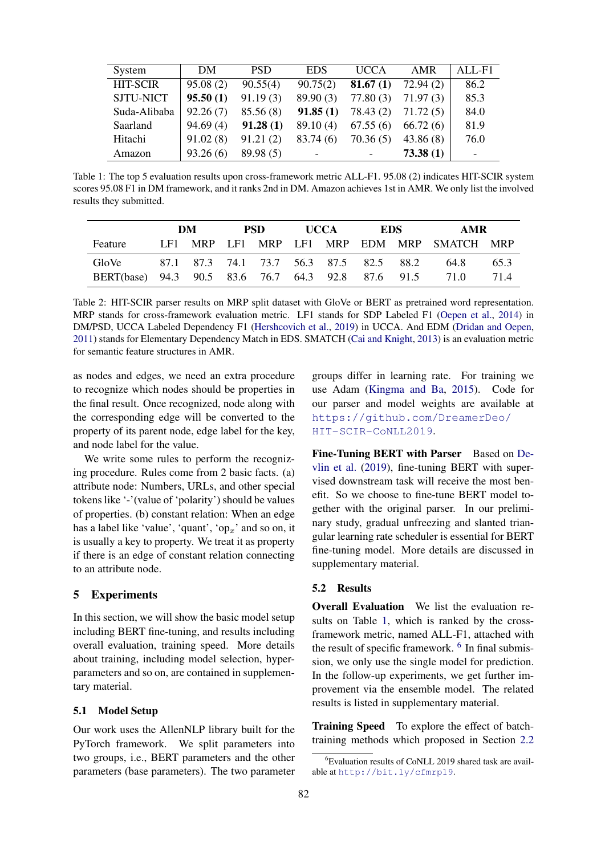<span id="page-6-0"></span>

| System           | DM       | <b>PSD</b> | <b>EDS</b> | <b>UCCA</b> | <b>AMR</b> | $AIJ-F1$ |
|------------------|----------|------------|------------|-------------|------------|----------|
| <b>HIT-SCIR</b>  | 95.08(2) | 90.55(4)   | 90.75(2)   | 81.67(1)    | 72.94(2)   | 86.2     |
| <b>SJTU-NICT</b> | 95.50(1) | 91.19(3)   | 89.90(3)   | 77.80(3)    | 71.97(3)   | 85.3     |
| Suda-Alibaba     | 92.26(7) | 85.56(8)   | 91.85(1)   | 78.43 (2)   | 71.72(5)   | 84.0     |
| Saarland         | 94.69(4) | 91.28(1)   | 89.10(4)   | 67.55(6)    | 66.72(6)   | 81.9     |
| Hitachi          | 91.02(8) | 91.21(2)   | 83.74 (6)  | 70.36(5)    | 43.86(8)   | 76.0     |
| Amazon           | 93.26(6) | 89.98(5)   |            |             | 73.38(1)   |          |

Table 1: The top 5 evaluation results upon cross-framework metric ALL-F1. 95.08 (2) indicates HIT-SCIR system scores 95.08 F1 in DM framework, and it ranks 2nd in DM. Amazon achieves 1st in AMR. We only list the involved results they submitted.

<span id="page-6-2"></span>

|                                                    | DM |  | PSD. |  | <b>UCCA</b> |  | EDS –                                   |  | AMR                                        |      |
|----------------------------------------------------|----|--|------|--|-------------|--|-----------------------------------------|--|--------------------------------------------|------|
| Feature                                            |    |  |      |  |             |  |                                         |  | LF1 MRP LF1 MRP LF1 MRP EDM MRP SMATCH MRP |      |
| GloVe                                              |    |  |      |  |             |  | 87.1 87.3 74.1 73.7 56.3 87.5 82.5 88.2 |  | 64.8                                       | 65.3 |
| BERT(base) 94.3 90.5 83.6 76.7 64.3 92.8 87.6 91.5 |    |  |      |  |             |  |                                         |  | 71 O                                       | 714  |

Table 2: HIT-SCIR parser results on MRP split dataset with GloVe or BERT as pretrained word representation. MRP stands for cross-framework evaluation metric. LF1 stands for SDP Labeled F1 [\(Oepen et al.,](#page-8-26) [2014\)](#page-8-26) in DM/PSD, UCCA Labeled Dependency F1 [\(Hershcovich et al.,](#page-8-27) [2019\)](#page-8-27) in UCCA. And EDM [\(Dridan and Oepen,](#page-8-28) [2011\)](#page-8-28) stands for Elementary Dependency Match in EDS. SMATCH [\(Cai and Knight,](#page-8-29) [2013\)](#page-8-29) is an evaluation metric for semantic feature structures in AMR.

as nodes and edges, we need an extra procedure to recognize which nodes should be properties in the final result. Once recognized, node along with the corresponding edge will be converted to the property of its parent node, edge label for the key, and node label for the value.

We write some rules to perform the recognizing procedure. Rules come from 2 basic facts. (a) attribute node: Numbers, URLs, and other special tokens like '-'(value of 'polarity') should be values of properties. (b) constant relation: When an edge has a label like 'value', 'quant', 'op<sub>x</sub>' and so on, it is usually a key to property. We treat it as property if there is an edge of constant relation connecting to an attribute node.

# 5 Experiments

In this section, we will show the basic model setup including BERT fine-tuning, and results including overall evaluation, training speed. More details about training, including model selection, hyperparameters and so on, are contained in supplementary material.

### 5.1 Model Setup

Our work uses the AllenNLP library built for the PyTorch framework. We split parameters into two groups, i.e., BERT parameters and the other parameters (base parameters). The two parameter

groups differ in learning rate. For training we use Adam [\(Kingma and Ba,](#page-8-30) [2015\)](#page-8-30). Code for our parser and model weights are available at [https://github.com/DreamerDeo/](https://github.com/DreamerDeo/HIT-SCIR-CoNLL2019) [HIT-SCIR-CoNLL2019](https://github.com/DreamerDeo/HIT-SCIR-CoNLL2019).

Fine-Tuning BERT with Parser Based on [De](#page-8-0)[vlin et al.](#page-8-0) [\(2019\)](#page-8-0), fine-tuning BERT with supervised downstream task will receive the most benefit. So we choose to fine-tune BERT model together with the original parser. In our preliminary study, gradual unfreezing and slanted triangular learning rate scheduler is essential for BERT fine-tuning model. More details are discussed in supplementary material.

### 5.2 Results

Overall Evaluation We list the evaluation results on Table [1,](#page-6-0) which is ranked by the crossframework metric, named ALL-F1, attached with the result of specific framework.  $6$  In final submission, we only use the single model for prediction. In the follow-up experiments, we get further improvement via the ensemble model. The related results is listed in supplementary material.

Training Speed To explore the effect of batchtraining methods which proposed in Section [2.2](#page-2-0)

<span id="page-6-1"></span> ${}^{6}$ Evaluation results of CoNLL 2019 shared task are available at <http://bit.ly/cfmrp19>.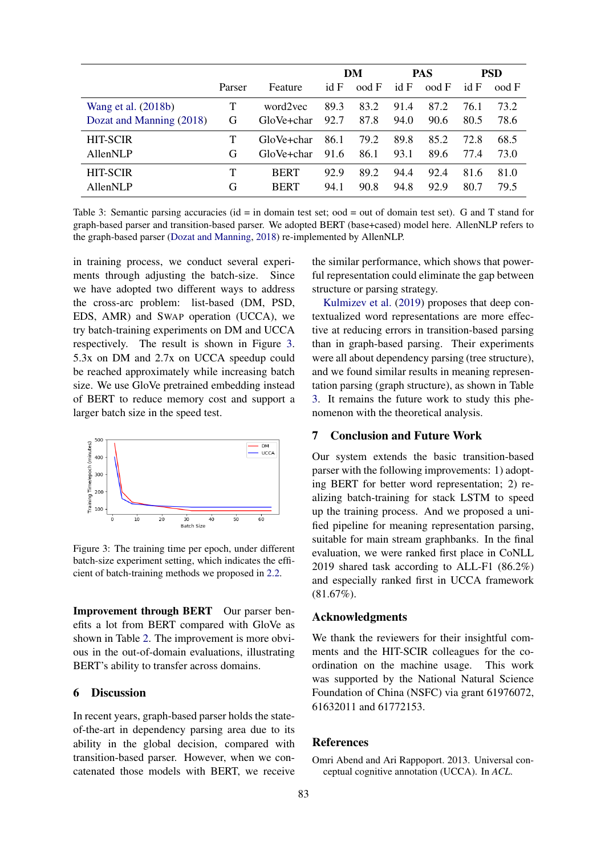<span id="page-7-2"></span>

|                          |        |             | DM   |       | <b>PAS</b> |       | <b>PSD</b> |              |
|--------------------------|--------|-------------|------|-------|------------|-------|------------|--------------|
|                          | Parser | Feature     | idF  | ood F | id F       | ood F | idF        | $\rm{ood}$ F |
| Wang et al. (2018b)      | Т      | word2vec    | 89.3 | 83.2  | 91.4       | 87.2  | 76.1       | 73.2         |
| Dozat and Manning (2018) | G      | GloVe+char  | 92.7 | 87.8  | 94.0       | 90.6  | 80.5       | 78.6         |
| <b>HIT-SCIR</b>          |        | GloVe+char  | 86.1 | 79.2  | 89.8       | 85.2  | 72.8       | 68.5         |
| AllenNLP                 | G      | GloVe+char  | 91.6 | 86.1  | 93.1       | 89.6  | 77.4       | 73.0         |
| <b>HIT-SCIR</b>          | Т      | <b>BERT</b> | 92.9 | 89.2  | 94.4       | 92.4  | 81.6       | 81.0         |
| AllenNLP                 | G      | <b>BERT</b> | 94.1 | 90.8  | 94.8       | 92.9  | 80.7       | 79.5         |

Table 3: Semantic parsing accuracies (id = in domain test set; ood = out of domain test set). G and T stand for graph-based parser and transition-based parser. We adopted BERT (base+cased) model here. AllenNLP refers to the graph-based parser [\(Dozat and Manning,](#page-8-9) [2018\)](#page-8-9) re-implemented by AllenNLP.

in training process, we conduct several experiments through adjusting the batch-size. Since we have adopted two different ways to address the cross-arc problem: list-based (DM, PSD, EDS, AMR) and SWAP operation (UCCA), we try batch-training experiments on DM and UCCA respectively. The result is shown in Figure [3.](#page-7-1) 5.3x on DM and 2.7x on UCCA speedup could be reached approximately while increasing batch size. We use GloVe pretrained embedding instead of BERT to reduce memory cost and support a larger batch size in the speed test.

<span id="page-7-1"></span>

Figure 3: The training time per epoch, under different batch-size experiment setting, which indicates the efficient of batch-training methods we proposed in [2.2.](#page-2-0)

Improvement through BERT Our parser benefits a lot from BERT compared with GloVe as shown in Table [2.](#page-6-2) The improvement is more obvious in the out-of-domain evaluations, illustrating BERT's ability to transfer across domains.

### 6 Discussion

In recent years, graph-based parser holds the stateof-the-art in dependency parsing area due to its ability in the global decision, compared with transition-based parser. However, when we concatenated those models with BERT, we receive the similar performance, which shows that powerful representation could eliminate the gap between structure or parsing strategy.

[Kulmizev et al.](#page-8-31) [\(2019\)](#page-8-31) proposes that deep contextualized word representations are more effective at reducing errors in transition-based parsing than in graph-based parsing. Their experiments were all about dependency parsing (tree structure), and we found similar results in meaning representation parsing (graph structure), as shown in Table [3.](#page-7-2) It remains the future work to study this phenomenon with the theoretical analysis.

### 7 Conclusion and Future Work

Our system extends the basic transition-based parser with the following improvements: 1) adopting BERT for better word representation; 2) realizing batch-training for stack LSTM to speed up the training process. And we proposed a unified pipeline for meaning representation parsing, suitable for main stream graphbanks. In the final evaluation, we were ranked first place in CoNLL 2019 shared task according to ALL-F1 (86.2%) and especially ranked first in UCCA framework (81.67%).

### Acknowledgments

We thank the reviewers for their insightful comments and the HIT-SCIR colleagues for the coordination on the machine usage. This work was supported by the National Natural Science Foundation of China (NSFC) via grant 61976072, 61632011 and 61772153.

#### References

<span id="page-7-0"></span>Omri Abend and Ari Rappoport. 2013. Universal conceptual cognitive annotation (UCCA). In *ACL*.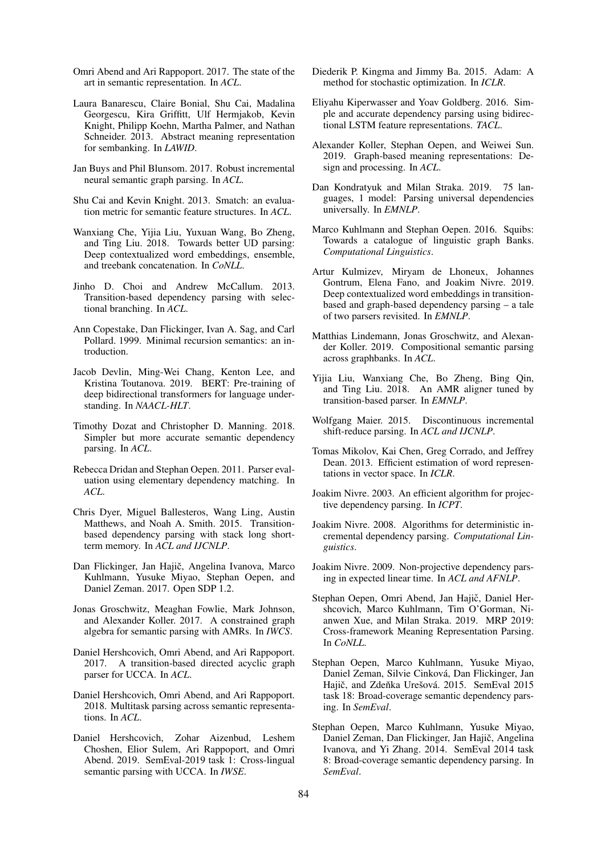- <span id="page-8-3"></span>Omri Abend and Ari Rappoport. 2017. The state of the art in semantic representation. In *ACL*.
- <span id="page-8-7"></span>Laura Banarescu, Claire Bonial, Shu Cai, Madalina Georgescu, Kira Griffitt, Ulf Hermjakob, Kevin Knight, Philipp Koehn, Martha Palmer, and Nathan Schneider. 2013. Abstract meaning representation for sembanking. In *LAWID*.
- <span id="page-8-11"></span>Jan Buys and Phil Blunsom. 2017. Robust incremental neural semantic graph parsing. In *ACL*.
- <span id="page-8-29"></span>Shu Cai and Kevin Knight. 2013. Smatch: an evaluation metric for semantic feature structures. In *ACL*.
- <span id="page-8-19"></span>Wanxiang Che, Yijia Liu, Yuxuan Wang, Bo Zheng, and Ting Liu. 2018. Towards better UD parsing: Deep contextualized word embeddings, ensemble, and treebank concatenation. In *CoNLL*.
- <span id="page-8-21"></span>Jinho D. Choi and Andrew McCallum. 2013. Transition-based dependency parsing with selectional branching. In *ACL*.
- <span id="page-8-6"></span>Ann Copestake, Dan Flickinger, Ivan A. Sag, and Carl Pollard. 1999. Minimal recursion semantics: an introduction.
- <span id="page-8-0"></span>Jacob Devlin, Ming-Wei Chang, Kenton Lee, and Kristina Toutanova. 2019. BERT: Pre-training of deep bidirectional transformers for language understanding. In *NAACL-HLT*.
- <span id="page-8-9"></span>Timothy Dozat and Christopher D. Manning. 2018. Simpler but more accurate semantic dependency parsing. In *ACL*.
- <span id="page-8-28"></span>Rebecca Dridan and Stephan Oepen. 2011. Parser evaluation using elementary dependency matching. In *ACL*.
- <span id="page-8-16"></span>Chris Dyer, Miguel Ballesteros, Wang Ling, Austin Matthews, and Noah A. Smith. 2015. Transitionbased dependency parsing with stack long shortterm memory. In *ACL and IJCNLP*.
- <span id="page-8-5"></span>Dan Flickinger, Jan Hajič, Angelina Ivanova, Marco Kuhlmann, Yusuke Miyao, Stephan Oepen, and Daniel Zeman. 2017. Open SDP 1.2.
- <span id="page-8-13"></span>Jonas Groschwitz, Meaghan Fowlie, Mark Johnson, and Alexander Koller. 2017. A constrained graph algebra for semantic parsing with AMRs. In *IWCS*.
- <span id="page-8-14"></span>Daniel Hershcovich, Omri Abend, and Ari Rappoport. 2017. A transition-based directed acyclic graph parser for UCCA. In *ACL*.
- <span id="page-8-10"></span>Daniel Hershcovich, Omri Abend, and Ari Rappoport. 2018. Multitask parsing across semantic representations. In *ACL*.
- <span id="page-8-27"></span>Daniel Hershcovich, Zohar Aizenbud, Leshem Choshen, Elior Sulem, Ari Rappoport, and Omri Abend. 2019. SemEval-2019 task 1: Cross-lingual semantic parsing with UCCA. In *IWSE*.
- <span id="page-8-30"></span>Diederik P. Kingma and Jimmy Ba. 2015. Adam: A method for stochastic optimization. In *ICLR*.
- <span id="page-8-17"></span>Eliyahu Kiperwasser and Yoav Goldberg. 2016. Simple and accurate dependency parsing using bidirectional LSTM feature representations. *TACL*.
- <span id="page-8-8"></span>Alexander Koller, Stephan Oepen, and Weiwei Sun. 2019. Graph-based meaning representations: Design and processing. In *ACL*.
- <span id="page-8-20"></span>Dan Kondratyuk and Milan Straka. 2019. 75 languages, 1 model: Parsing universal dependencies universally. In *EMNLP*.
- <span id="page-8-2"></span>Marco Kuhlmann and Stephan Oepen. 2016. Squibs: Towards a catalogue of linguistic graph Banks. *Computational Linguistics*.
- <span id="page-8-31"></span>Artur Kulmizev, Miryam de Lhoneux, Johannes Gontrum, Elena Fano, and Joakim Nivre. 2019. Deep contextualized word embeddings in transitionbased and graph-based dependency parsing – a tale of two parsers revisited. In *EMNLP*.
- <span id="page-8-12"></span>Matthias Lindemann, Jonas Groschwitz, and Alexander Koller. 2019. Compositional semantic parsing across graphbanks. In *ACL*.
- <span id="page-8-15"></span>Yijia Liu, Wanxiang Che, Bo Zheng, Bing Qin, and Ting Liu. 2018. An AMR aligner tuned by transition-based parser. In *EMNLP*.
- <span id="page-8-24"></span>Wolfgang Maier. 2015. Discontinuous incremental shift-reduce parsing. In *ACL and IJCNLP*.
- <span id="page-8-18"></span>Tomas Mikolov, Kai Chen, Greg Corrado, and Jeffrey Dean. 2013. Efficient estimation of word representations in vector space. In *ICLR*.
- <span id="page-8-22"></span>Joakim Nivre. 2003. An efficient algorithm for projective dependency parsing. In *ICPT*.
- <span id="page-8-23"></span>Joakim Nivre. 2008. Algorithms for deterministic incremental dependency parsing. *Computational Linguistics*.
- <span id="page-8-25"></span>Joakim Nivre. 2009. Non-projective dependency parsing in expected linear time. In *ACL and AFNLP*.
- <span id="page-8-1"></span>Stephan Oepen, Omri Abend, Jan Hajič, Daniel Hershcovich, Marco Kuhlmann, Tim O'Gorman, Nianwen Xue, and Milan Straka. 2019. MRP 2019: Cross-framework Meaning Representation Parsing. In *CoNLL*.
- <span id="page-8-4"></span>Stephan Oepen, Marco Kuhlmann, Yusuke Miyao, Daniel Zeman, Silvie Cinková, Dan Flickinger, Jan Hajič, and Zdeňka Urešová. 2015. SemEval 2015 task 18: Broad-coverage semantic dependency parsing. In *SemEval*.
- <span id="page-8-26"></span>Stephan Oepen, Marco Kuhlmann, Yusuke Miyao, Daniel Zeman, Dan Flickinger, Jan Hajič, Angelina Ivanova, and Yi Zhang. 2014. SemEval 2014 task 8: Broad-coverage semantic dependency parsing. In *SemEval*.